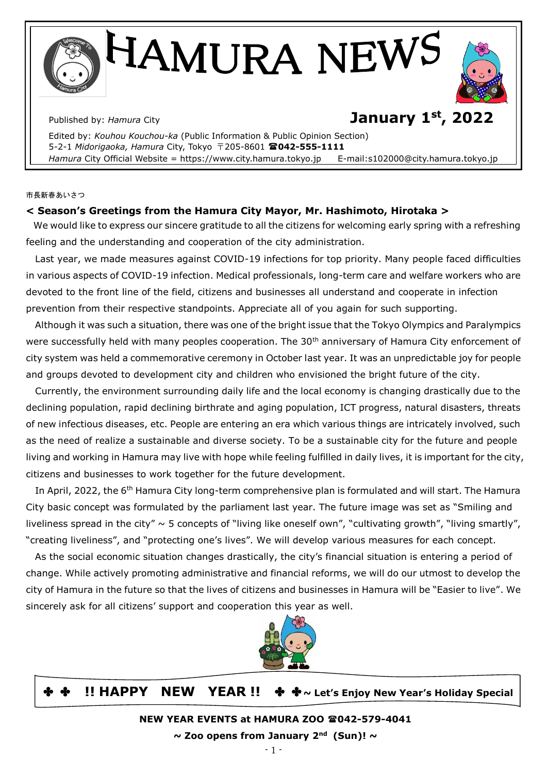IAMURA NEWS

# Published by: *Hamura* City **January 1st, 2022**

 Edited by: *Kouhou Kouchou-ka* (Public Information & Public Opinion Section) 5-2-1 *Midorigaoka, Hamura* City, Tokyo 〒205-8601 **042-555-1111**  Hamura City Official Website = https://www.city.hamura.tokyo.jp E-mail:s102000@city.hamura.tokyo.jp

市長新春あいさつ

# **< Season's Greetings from the Hamura City Mayor, Mr. Hashimoto, Hirotaka >**

 We would like to express our sincere gratitude to all the citizens for welcoming early spring with a refreshing feeling and the understanding and cooperation of the city administration.

 Last year, we made measures against COVID-19 infections for top priority. Many people faced difficulties in various aspects of COVID-19 infection. Medical professionals, long-term care and welfare workers who are devoted to the front line of the field, citizens and businesses all understand and cooperate in infection prevention from their respective standpoints. Appreciate all of you again for such supporting.

 Although it was such a situation, there was one of the bright issue that the Tokyo Olympics and Paralympics were successfully held with many peoples cooperation. The 30<sup>th</sup> anniversary of Hamura City enforcement of city system was held a commemorative ceremony in October last year. It was an unpredictable joy for people and groups devoted to development city and children who envisioned the bright future of the city.

 Currently, the environment surrounding daily life and the local economy is changing drastically due to the declining population, rapid declining birthrate and aging population, ICT progress, natural disasters, threats of new infectious diseases, etc. People are entering an era which various things are intricately involved, such as the need of realize a sustainable and diverse society. To be a sustainable city for the future and people living and working in Hamura may live with hope while feeling fulfilled in daily lives, it is important for the city, citizens and businesses to work together for the future development.

In April, 2022, the 6<sup>th</sup> Hamura City long-term comprehensive plan is formulated and will start. The Hamura City basic concept was formulated by the parliament last year. The future image was set as "Smiling and liveliness spread in the city"  $\sim$  5 concepts of "living like oneself own", "cultivating growth", "living smartly", "creating liveliness", and "protecting one's lives". We will develop various measures for each concept.

 As the social economic situation changes drastically, the city's financial situation is entering a period of change. While actively promoting administrative and financial reforms, we will do our utmost to develop the city of Hamura in the future so that the lives of citizens and businesses in Hamura will be "Easier to live". We sincerely ask for all citizens' support and cooperation this year as well.



# ✤ ✤ **!! HAPPY NEW YEAR !!** ✤ ✤**~ Let's Enjoy New Year's Holiday Special**

**NEW YEAR EVENTS at HAMURA ZOO 042-579-4041**

**~ Zoo opens from January 2nd (Sun)! ~**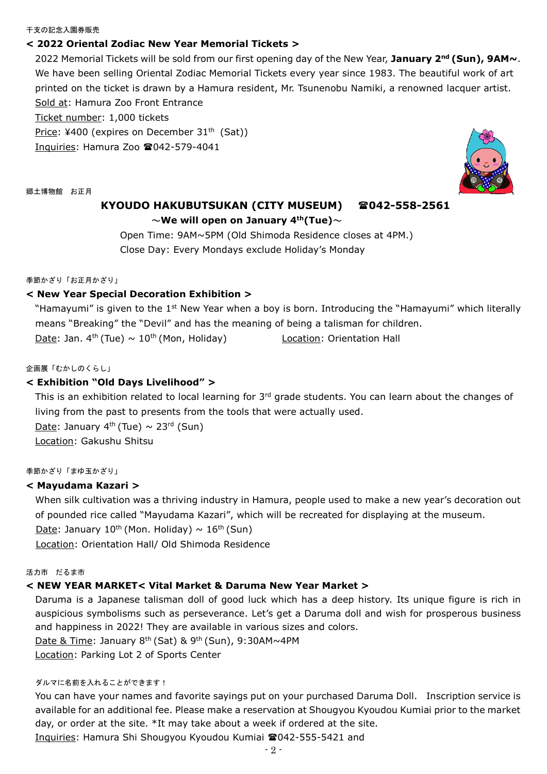#### 干支の記念入園券販売

#### **< 2022 Oriental Zodiac New Year Memorial Tickets >**

2022 Memorial Tickets will be sold from our first opening day of the New Year, **January 2nd (Sun), 9AM~**. We have been selling Oriental Zodiac Memorial Tickets every year since 1983. The beautiful work of art printed on the ticket is drawn by a Hamura resident, Mr. Tsunenobu Namiki, a renowned lacquer artist. Sold at: Hamura Zoo Front Entrance

Ticket number: 1,000 tickets

Price: ¥400 (expires on December 31<sup>th</sup> (Sat))

Inquiries: Hamura Zoo  $\textcircled{2}042-579-4041$ 

郷土博物館 お正月

# **KYOUDO HAKUBUTSUKAN (CITY MUSEUM) 042-558-2561**  ~**We will open on January 4th(Tue)**~

Open Time: 9AM~5PM (Old Shimoda Residence closes at 4PM.) Close Day: Every Mondays exclude Holiday's Monday

季節かざり「お正月かざり」

#### **< New Year Special Decoration Exhibition >**

"Hamayumi" is given to the 1<sup>st</sup> New Year when a boy is born. Introducing the "Hamayumi" which literally means "Breaking" the "Devil" and has the meaning of being a talisman for children.

Date: Jan. 4 th (Tue) ~ 10th (Mon, Holiday) Location: Orientation Hall

#### 企画展「むかしのくらし」

# **< Exhibition "Old Days Livelihood" >**

This is an exhibition related to local learning for 3<sup>rd</sup> grade students. You can learn about the changes of living from the past to presents from the tools that were actually used.

Date: January 4<sup>th</sup> (Tue) ~ 23<sup>rd</sup> (Sun) Location: Gakushu Shitsu

#### 季節かざり「まゆ玉かざり」

#### **< Mayudama Kazari >**

When silk cultivation was a thriving industry in Hamura, people used to make a new year's decoration out of pounded rice called "Mayudama Kazari", which will be recreated for displaying at the museum. Date: January  $10^{th}$  (Mon. Holiday)  $\sim 16^{th}$  (Sun)

Location: Orientation Hall/ Old Shimoda Residence

#### 活力市 だるま市

#### **< NEW YEAR MARKET< Vital Market & Daruma New Year Market >**

Daruma is a Japanese talisman doll of good luck which has a deep history. Its unique figure is rich in auspicious symbolisms such as perseverance. Let's get a Daruma doll and wish for prosperous business and happiness in 2022! They are available in various sizes and colors. Date & Time: January 8<sup>th</sup> (Sat) & 9<sup>th</sup> (Sun), 9:30AM~4PM

Location: Parking Lot 2 of Sports Center

#### ダルマに名前を入れることができます!

You can have your names and favorite sayings put on your purchased Daruma Doll. Inscription service is available for an additional fee. Please make a reservation at Shougyou Kyoudou Kumiai prior to the market day, or order at the site. \*It may take about a week if ordered at the site. Inquiries: Hamura Shi Shougyou Kyoudou Kumiai 2042-555-5421 and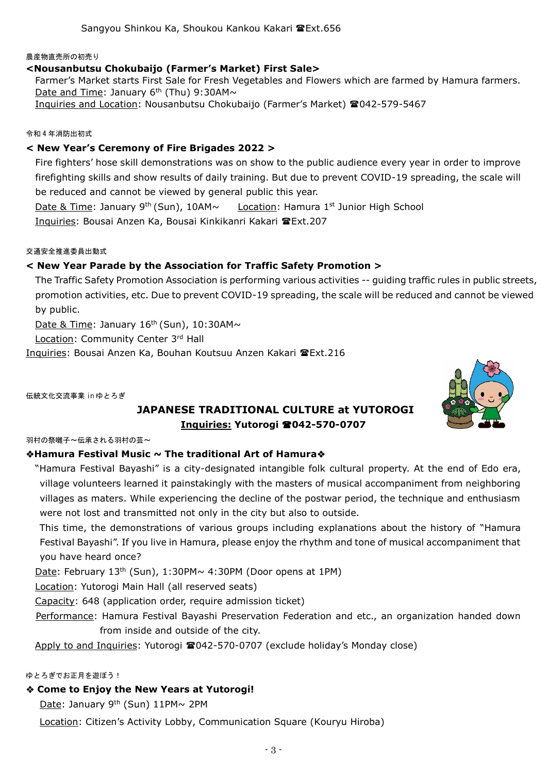#### 農産物直売所の初売り

# **<Nousanbutsu Chokubaijo (Farmer's Market) First Sale>**

Farmer's Market starts First Sale for Fresh Vegetables and Flowers which are farmed by Hamura farmers. Date and Time: January  $6<sup>th</sup>$  (Thu) 9:30AM $\sim$ Inquiries and Location: Nousanbutsu Chokubaijo (Farmer's Market) 2042-579-5467

### 令和 4 年消防出初式

# **< New Year's Ceremony of Fire Brigades 2022 >**

Fire fighters' hose skill demonstrations was on show to the public audience every year in order to improve firefighting skills and show results of daily training. But due to prevent COVID-19 spreading, the scale will be reduced and cannot be viewed by general public this year.

Date & Time: January 9<sup>th</sup> (Sun), 10AM~ Location: Hamura 1<sup>st</sup> Junior High School Inquiries: Bousai Anzen Ka, Bousai Kinkikanri Kakari Ext.207

#### 交通安全推進委員出動式

# **< New Year Parade by the Association for Traffic Safety Promotion >**

The Traffic Safety Promotion Association is performing various activities -- guiding traffic rules in public streets, promotion activities, etc. Due to prevent COVID-19 spreading, the scale will be reduced and cannot be viewed by public.

Date & Time: January  $16<sup>th</sup>$  (Sun), 10:30AM $\sim$ 

Location: Community Center 3rd Hall

Inquiries: Bousai Anzen Ka, Bouhan Koutsuu Anzen Kakari Ext.216

伝統文化交流事業 in ゆとろぎ

# **JAPANESE TRADITIONAL CULTURE at YUTOROGI Inquiries: Yutorogi 042-570-0707**

羽村の祭囃子~伝承される羽村の芸~

# **Hamura Festival Music ~ The traditional Art of Hamura**

"Hamura Festival Bayashi" is a city-designated intangible folk cultural property. At the end of Edo era, village volunteers learned it painstakingly with the masters of musical accompaniment from neighboring villages as maters. While experiencing the decline of the postwar period, the technique and enthusiasm were not lost and transmitted not only in the city but also to outside.

 This time, the demonstrations of various groups including explanations about the history of "Hamura Festival Bayashi". If you live in Hamura, please enjoy the rhythm and tone of musical accompaniment that you have heard once?

Date: February  $13<sup>th</sup>$  (Sun),  $1:30$ PM $\sim$  4:30PM (Door opens at 1PM)

Location: Yutorogi Main Hall (all reserved seats)

Capacity: 648 (application order, require admission ticket)

Performance: Hamura Festival Bayashi Preservation Federation and etc., an organization handed down from inside and outside of the city.

Apply to and Inquiries: Yutorogi 042-570-0707 (exclude holiday's Monday close)

#### ゆとろぎでお正月を遊ぼう!

# **Come to Enjoy the New Years at Yutorogi!**

Date: January 9th (Sun) 11PM~ 2PM

Location: Citizen's Activity Lobby, Communication Square (Kouryu Hiroba)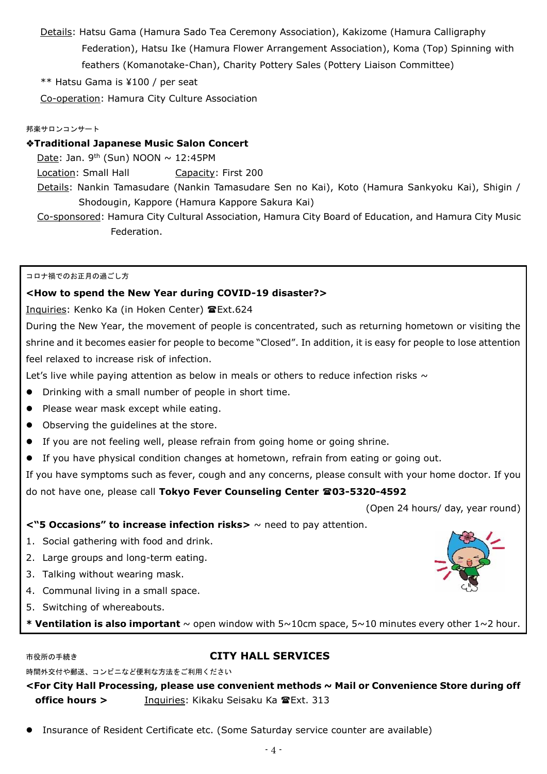Details: Hatsu Gama (Hamura Sado Tea Ceremony Association), Kakizome (Hamura Calligraphy Federation), Hatsu Ike (Hamura Flower Arrangement Association), Koma (Top) Spinning with feathers (Komanotake-Chan), Charity Pottery Sales (Pottery Liaison Committee)

# \*\* Hatsu Gama is ¥100 / per seat

Co-operation: Hamura City Culture Association

### 邦楽サロンコンサート

# **Traditional Japanese Music Salon Concert**

Date: Jan. 9<sup>th</sup> (Sun) NOON  $\sim$  12:45PM

Location: Small Hall **Capacity: First 200** 

Details: Nankin Tamasudare (Nankin Tamasudare Sen no Kai), Koto (Hamura Sankyoku Kai), Shigin / Shodougin, Kappore (Hamura Kappore Sakura Kai)

Co-sponsored: Hamura City Cultural Association, Hamura City Board of Education, and Hamura City Music Federation.

#### コロナ禍でのお正月の過ごし方

# **<How to spend the New Year during COVID-19 disaster?>**

Inquiries: Kenko Ka (in Hoken Center) TExt.624

During the New Year, the movement of people is concentrated, such as returning hometown or visiting the shrine and it becomes easier for people to become "Closed". In addition, it is easy for people to lose attention feel relaxed to increase risk of infection.

Let's live while paying attention as below in meals or others to reduce infection risks  $\sim$ 

- Drinking with a small number of people in short time.
- Please wear mask except while eating.
- Observing the quidelines at the store.
- If you are not feeling well, please refrain from going home or going shrine.
- If you have physical condition changes at hometown, refrain from eating or going out.

If you have symptoms such as fever, cough and any concerns, please consult with your home doctor. If you do not have one, please call **Tokyo Fever Counseling Center 03-5320-4592** 

(Open 24 hours/ day, year round)

# **<"5 Occasions" to increase infection risks>** ~ need to pay attention.

- 1. Social gathering with food and drink.
- 2. Large groups and long-term eating.
- 3. Talking without wearing mask.
- 4. Communal living in a small space.
- 5. Switching of whereabouts.
- **\* Ventilation is also important** ~ open window with 5~10cm space, 5~10 minutes every other 1~2 hour.

# 市役所の手続き **CITY HALL SERVICES**

時間外交付や郵送、コンビニなど便利な方法をご利用ください

# **<For City Hall Processing, please use convenient methods ~ Mail or Convenience Store during off office hours** > Inquiries: Kikaku Seisaku Ka TExt. 313

Insurance of Resident Certificate etc. (Some Saturday service counter are available)

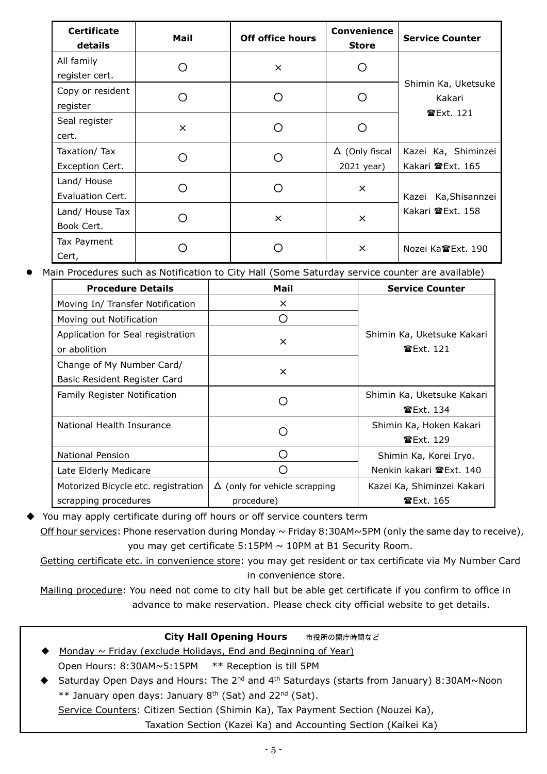| <b>Certificate</b><br>details   | Mail     | <b>Off office hours</b> | Convenience<br><b>Store</b>         | <b>Service Counter</b>                  |
|---------------------------------|----------|-------------------------|-------------------------------------|-----------------------------------------|
| All family<br>register cert.    | ( )      | $\times$                |                                     |                                         |
| Copy or resident<br>register    | ( )      |                         |                                     | Shimin Ka, Uketsuke<br>Kakari           |
| Seal register<br>cert.          | $\times$ |                         |                                     | <b>雷Ext. 121</b>                        |
| Taxation/Tax<br>Exception Cert. | ( )      |                         | $\Delta$ (Only fiscal<br>2021 year) | Kazei Ka, Shiminzei<br>Kakari 雷Ext. 165 |
| Land/ House<br>Evaluation Cert. |          |                         | $\times$                            | Kazei Ka, Shisannzei                    |
| Land/ House Tax<br>Book Cert.   | ( )      | $\times$                | $\times$                            | Kakari 雷Ext. 158                        |
| Tax Payment<br>Cert,            |          |                         | $\times$                            | Nozei Ka雪Ext, 190                       |

Main Procedures such as Notification to City Hall (Some Saturday service counter are available)

| <b>Procedure Details</b>            | Mail                                 | <b>Service Counter</b>                  |
|-------------------------------------|--------------------------------------|-----------------------------------------|
| Moving In/ Transfer Notification    | $\times$                             |                                         |
| Moving out Notification             |                                      |                                         |
| Application for Seal registration   |                                      | Shimin Ka, Uketsuke Kakari<br>雷Ext. 121 |
| or abolition                        | $\times$                             |                                         |
| Change of My Number Card/           | $\times$                             |                                         |
| Basic Resident Register Card        |                                      |                                         |
| <b>Family Register Notification</b> |                                      | Shimin Ka, Uketsuke Kakari              |
|                                     |                                      | <b>雷Ext. 134</b>                        |
| National Health Insurance           |                                      | Shimin Ka, Hoken Kakari                 |
|                                     |                                      | <b>雷Ext. 129</b>                        |
| National Pension                    | ( )                                  | Shimin Ka, Korei Iryo.                  |
| Late Elderly Medicare               |                                      | Nenkin kakari 雷Ext. 140                 |
| Motorized Bicycle etc. registration | $\Delta$ (only for vehicle scrapping | Kazei Ka, Shiminzei Kakari              |
| scrapping procedures                | procedure)                           | <b>☎Ext. 165</b>                        |

You may apply certificate during off hours or off service counters term

Off hour services: Phone reservation during Monday  $\sim$  Friday 8:30AM $\sim$ 5PM (only the same day to receive), you may get certificate  $5:15PM \sim 10PM$  at B1 Security Room.

Getting certificate etc. in convenience store: you may get resident or tax certificate via My Number Card in convenience store.

Mailing procedure: You need not come to city hall but be able get certificate if you confirm to office in advance to make reservation. Please check city official website to get details.

| <b>City Hall Opening Hours</b>                                                                                    | 市役所の開庁時間など |
|-------------------------------------------------------------------------------------------------------------------|------------|
| <u>Monday <math>\sim</math> Friday (exclude Holidays, End and Beginning of Year)</u>                              |            |
| Open Hours: $8:30AM \sim 5:15PM$ ** Reception is till 5PM                                                         |            |
| Saturday Open Days and Hours: The 2 <sup>nd</sup> and 4 <sup>th</sup> Saturdays (starts from January) 8:30AM~Noon |            |
| ** January open days: January 8 <sup>th</sup> (Sat) and 22 <sup>nd</sup> (Sat).                                   |            |

Service Counters: Citizen Section (Shimin Ka), Tax Payment Section (Nouzei Ka),

Taxation Section (Kazei Ka) and Accounting Section (Kaikei Ka)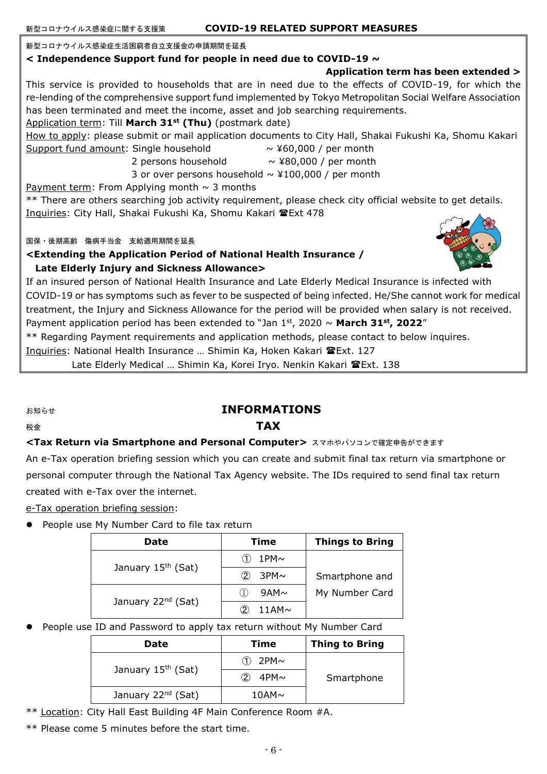#### 新型コロナウイルス感染症生活困窮者自立支援金の申請期間を延長

#### **< Independence Support fund for people in need due to COVID-19 ~**

# **Application term has been extended >**

This service is provided to households that are in need due to the effects of COVID-19, for which the re-lending of the comprehensive support fund implemented by Tokyo Metropolitan Social Welfare Association has been terminated and meet the income, asset and job searching requirements.

# Application term: Till **March 31st (Thu)** (postmark date)

How to apply: please submit or mail application documents to City Hall, Shakai Fukushi Ka, Shomu Kakari

Support fund amount: Single household  $\sim$  ¥60,000 / per month

- 
- 2 persons household  $\sim$  ¥80,000 / per month
- 3 or over persons household  $\sim$  ¥100,000 / per month

Payment term: From Applying month  $\sim$  3 months

\*\* There are others searching job activity requirement, please check city official website to get details. Inquiries: City Hall, Shakai Fukushi Ka, Shomu Kakari @Ext 478

国保・後期高齢 傷病手当金 支給適用期間を延長

### **<Extending the Application Period of National Health Insurance / Late Elderly Injury and Sickness Allowance>**



If an insured person of National Health Insurance and Late Elderly Medical Insurance is infected with COVID-19 or has symptoms such as fever to be suspected of being infected. He/She cannot work for medical treatment, the Injury and Sickness Allowance for the period will be provided when salary is not received. Payment application period has been extended to "Jan  $1<sup>st</sup>$ , 2020 ~ **March 31<sup>st</sup>**, 2022"

\*\* Regarding Payment requirements and application methods, please contact to below inquires.

Inquiries: National Health Insurance … Shimin Ka, Hoken Kakari Ext. 127

Late Elderly Medical ... Shimin Ka, Korei Iryo. Nenkin Kakari TExt. 138

# お知らせ **INFORMATIONS**

# 税金 **TAX**

# **<Tax Return via Smartphone and Personal Computer>** スマホやパソコンで確定申告ができます

An e-Tax operation briefing session which you can create and submit final tax return via smartphone or personal computer through the National Tax Agency website. The IDs required to send final tax return created with e-Tax over the internet.

e-Tax operation briefing session:

**•** People use My Number Card to file tax return

| Date                           | Time                         | <b>Things to Bring</b> |
|--------------------------------|------------------------------|------------------------|
|                                | 1PM $\sim$                   |                        |
| January 15 <sup>th</sup> (Sat) | $\circledcirc$<br>$3PM \sim$ | Smartphone and         |
|                                | $9AM\sim$                    | My Number Card         |
| January 22 <sup>nd</sup> (Sat) | $11AM\sim$                   |                        |

# People use ID and Password to apply tax return without My Number Card

| Date                           | Time            | <b>Thing to Bring</b> |
|--------------------------------|-----------------|-----------------------|
|                                | $2PM \sim$      |                       |
| January 15 <sup>th</sup> (Sat) | 4PM $\sim$<br>つ | Smartphone            |
| January 22 <sup>nd</sup> (Sat) | $10AM\sim$      |                       |

\*\* Location: City Hall East Building 4F Main Conference Room #A.

\*\* Please come 5 minutes before the start time.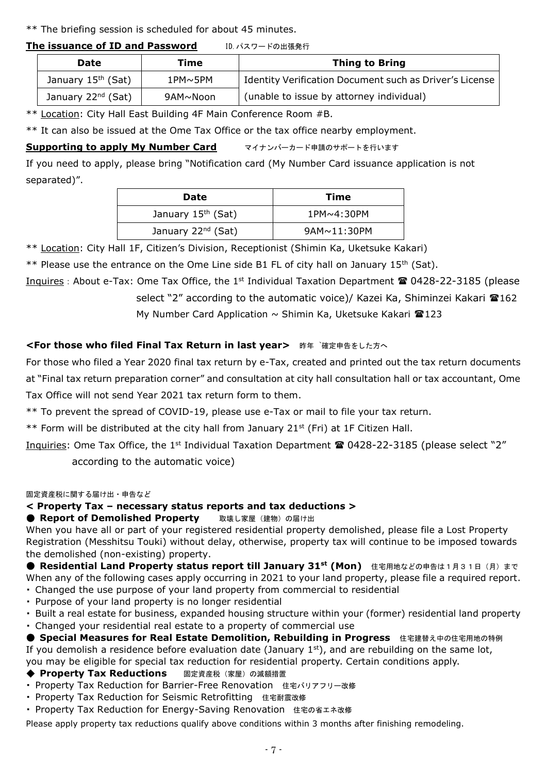\*\* The briefing session is scheduled for about 45 minutes.

# **The issuance of ID and Password ID. パスワードの出張発行**

| Date                           | Time              | <b>Thing to Bring</b>                                   |
|--------------------------------|-------------------|---------------------------------------------------------|
| January 15 <sup>th</sup> (Sat) | $1$ PM $\sim$ 5PM | Identity Verification Document such as Driver's License |
| January 22 <sup>nd</sup> (Sat) | 9AM~Noon          | (unable to issue by attorney individual)                |

\*\* Location: City Hall East Building 4F Main Conference Room #B.

\*\* It can also be issued at the Ome Tax Office or the tax office nearby employment.

# **Supporting to apply My Number Card マイナンバーカード申請のサポートを行います**

If you need to apply, please bring "Notification card (My Number Card issuance application is not separated)".

| <b>Date</b>                    | Time                 |
|--------------------------------|----------------------|
| January 15 <sup>th</sup> (Sat) | $1$ PM $\sim$ 4:30PM |
| January 22 <sup>nd</sup> (Sat) | $9AM \sim 11:30PM$   |

\*\* Location: City Hall 1F, Citizen's Division, Receptionist (Shimin Ka, Uketsuke Kakari)

\*\* Please use the entrance on the Ome Line side B1 FL of city hall on January 15<sup>th</sup> (Sat).

Inquires: About e-Tax: Ome Tax Office, the 1<sup>st</sup> Individual Taxation Department  $\hat{a}$  0428-22-3185 (please select "2" according to the automatic voice)/ Kazei Ka, Shiminzei Kakari <sup>16</sup>162 My Number Card Application  $\sim$  Shimin Ka, Uketsuke Kakari  $\mathbf{\hat{m}}$ 123

# **<For those who filed Final Tax Return in last year> 昨年 潘定申告をした方へ**

For those who filed a Year 2020 final tax return by e-Tax, created and printed out the tax return documents at "Final tax return preparation corner" and consultation at city hall consultation hall or tax accountant, Ome Tax Office will not send Year 2021 tax return form to them.

\*\* To prevent the spread of COVID-19, please use e-Tax or mail to file your tax return.

\*\* Form will be distributed at the city hall from January 21<sup>st</sup> (Fri) at 1F Citizen Hall.

Inquiries: Ome Tax Office, the 1<sup>st</sup> Individual Taxation Department **1** (0428-22-3185 (please select "2")

according to the automatic voice)

#### 固定資産税に関する届け出・申告など

# **< Property Tax – necessary status reports and tax deductions >**

**● Report of Demolished Property** 取壊し家屋(建物)の届け出

When you have all or part of your registered residential property demolished, please file a Lost Property Registration (Messhitsu Touki) without delay, otherwise, property tax will continue to be imposed towards the demolished (non-existing) property.

**● Residential Land Property status report till January 31<sup>st</sup> (Mon)** 住宅用地などの申告は1月31日(月)まで When any of the following cases apply occurring in 2021 to your land property, please file a required report. ・ Changed the use purpose of your land property from commercial to residential

- ・ Purpose of your land property is no longer residential
- ・ Built a real estate for business, expanded housing structure within your (former) residential land property

・ Changed your residential real estate to a property of commercial use

**● Special Measures for Real Estate Demolition, Rebuilding in Progress** 住宅建替え中の住宅用地の特例 If you demolish a residence before evaluation date (January  $1<sup>st</sup>$ ), and are rebuilding on the same lot, you may be eligible for special tax reduction for residential property. Certain conditions apply.

# ◆ Property Tax Reductions 固定資産税 (家屋) の減額措置

- ・ Property Tax Reduction for Barrier-Free Renovation 住宅バリアフリー改修
- ・ Property Tax Reduction for Seismic Retrofitting 住宅耐震改修
- ・ Property Tax Reduction for Energy-Saving Renovation 住宅の省エネ改修

Please apply property tax reductions qualify above conditions within 3 months after finishing remodeling.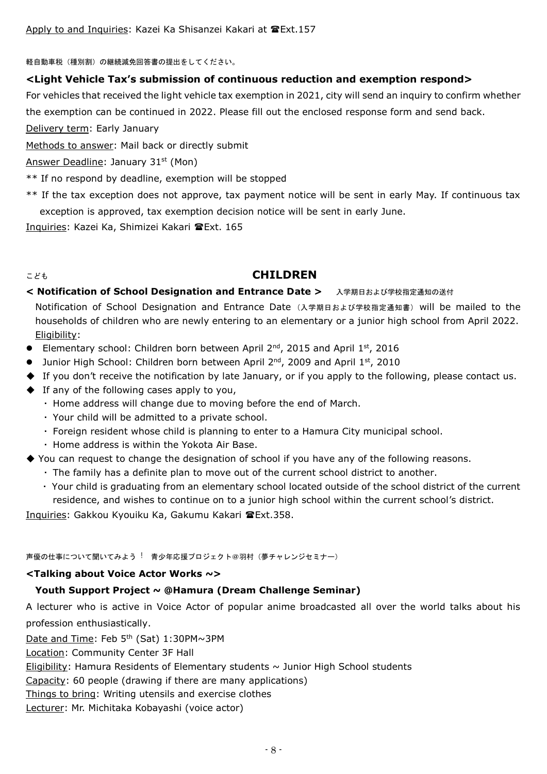軽自動車税(種別割)の継続減免回答書の提出をしてください。

# **<Light Vehicle Tax's submission of continuous reduction and exemption respond>**

For vehicles that received the light vehicle tax exemption in 2021, city will send an inquiry to confirm whether the exemption can be continued in 2022. Please fill out the enclosed response form and send back.

Delivery term: Early January

Methods to answer: Mail back or directly submit

Answer Deadline: January 31<sup>st</sup> (Mon)

- \*\* If no respond by deadline, exemption will be stopped
- \*\* If the tax exception does not approve, tax payment notice will be sent in early May. If continuous tax exception is approved, tax exemption decision notice will be sent in early June.

Inquiries: Kazei Ka, Shimizei Kakari Ext. 165

# こども **CHILDREN**

# < Notification of School Designation and Entrance Date > 入学期日および学校指定通知の送付 Notification of School Designation and Entrance Date (入学期日および学校指定通知書) will be mailed to the households of children who are newly entering to an elementary or a junior high school from April 2022. Eligibility:

- Elementary school: Children born between April  $2^{nd}$ , 2015 and April  $1^{st}$ , 2016
- Junior High School: Children born between April 2<sup>nd</sup>, 2009 and April 1st, 2010
- ◆ If you don't receive the notification by late January, or if you apply to the following, please contact us.
- ◆ If any of the following cases apply to you,
	- $\cdot$  Home address will change due to moving before the end of March.
	- Your child will be admitted to a private school.
	- Foreign resident whose child is planning to enter to a Hamura City municipal school.
	- Home address is within the Yokota Air Base.
- ◆ You can request to change the designation of school if you have any of the following reasons.
	- The family has a definite plan to move out of the current school district to another.
	- Your child is graduating from an elementary school located outside of the school district of the current residence, and wishes to continue on to a junior high school within the current school's district.

Inquiries: Gakkou Kyouiku Ka, Gakumu Kakari Ext.358.

声優の仕事について聞いてみよう ! 青少年応援プロジェクト@羽村 (夢チャレンジセミナー)

# **<Talking about Voice Actor Works ~>**

# **Youth Support Project ~ @Hamura (Dream Challenge Seminar)**

A lecturer who is active in Voice Actor of popular anime broadcasted all over the world talks about his profession enthusiastically.

Date and Time: Feb 5<sup>th</sup> (Sat) 1:30PM~3PM

Location: Community Center 3F Hall

Eligibility: Hamura Residents of Elementary students  $\sim$  Junior High School students

Capacity: 60 people (drawing if there are many applications)

Things to bring: Writing utensils and exercise clothes

Lecturer: Mr. Michitaka Kobayashi (voice actor)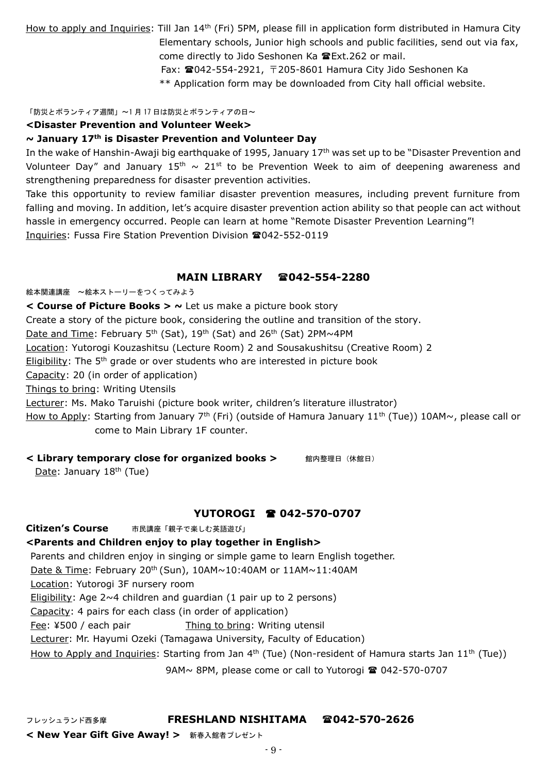How to apply and Inquiries: Till Jan 14<sup>th</sup> (Fri) 5PM, please fill in application form distributed in Hamura City Elementary schools, Junior high schools and public facilities, send out via fax, come directly to Jido Seshonen Ka Kext.262 or mail. Fax: 042-554-2921, 〒205-8601 Hamura City Jido Seshonen Ka \*\* Application form may be downloaded from City hall official website.

「防災とボランティア週間」~1 月 17 日は防災とボランティアの日~

#### **<Disaster Prevention and Volunteer Week>**

#### **~ January 17th is Disaster Prevention and Volunteer Day**

In the wake of Hanshin-Awaji big earthquake of 1995, January 17<sup>th</sup> was set up to be "Disaster Prevention and Volunteer Day" and January 15<sup>th</sup>  $\sim 21^{st}$  to be Prevention Week to aim of deepening awareness and strengthening preparedness for disaster prevention activities.

Take this opportunity to review familiar disaster prevention measures, including prevent furniture from falling and moving. In addition, let's acquire disaster prevention action ability so that people can act without hassle in emergency occurred. People can learn at home "Remote Disaster Prevention Learning"! Inquiries: Fussa Fire Station Prevention Division 2042-552-0119

### **MAIN LIBRARY 042-554-2280**

絵本関連講座 ~絵本ストーリーをつくってみよう

**< Course of Picture Books > ~** Let us make a picture book story

Create a story of the picture book, considering the outline and transition of the story.

Date and Time: February 5<sup>th</sup> (Sat), 19<sup>th</sup> (Sat) and 26<sup>th</sup> (Sat) 2PM~4PM

Location: Yutorogi Kouzashitsu (Lecture Room) 2 and Sousakushitsu (Creative Room) 2

Eligibility: The  $5<sup>th</sup>$  grade or over students who are interested in picture book

Capacity: 20 (in order of application)

Things to bring: Writing Utensils

Lecturer: Ms. Mako Taruishi (picture book writer, children's literature illustrator)

How to Apply: Starting from January 7<sup>th</sup> (Fri) (outside of Hamura January 11<sup>th</sup> (Tue)) 10AM~, please call or come to Main Library 1F counter.

# **< Library temporary close for organized books >** 館内整理日(休館日)

Date: January  $18<sup>th</sup>$  (Tue)

# **YUTOROGI 042-570-0707**

**Citizen's Course** 市民講座「親子で楽しむ英語遊び」 **<Parents and Children enjoy to play together in English>** Parents and children enjoy in singing or simple game to learn English together. Date & Time: February 20<sup>th</sup> (Sun), 10AM~10:40AM or 11AM~11:40AM Location: Yutorogi 3F nursery room Eligibility: Age  $2~4$  children and guardian (1 pair up to 2 persons) Capacity: 4 pairs for each class (in order of application) Fee: ¥500 / each pair Thing to bring: Writing utensil Lecturer: Mr. Hayumi Ozeki (Tamagawa University, Faculty of Education) How to Apply and Inquiries: Starting from Jan  $4^{th}$  (Tue) (Non-resident of Hamura starts Jan  $11^{th}$  (Tue)) 9AM~ 8PM, please come or call to Yutorogi <sup>2</sup> 042-570-0707

# フレッシュランド西多摩 **FRESHLAND NISHITAMA 042-570-2626**

**< New Year Gift Give Away! >** 新春入館者プレゼント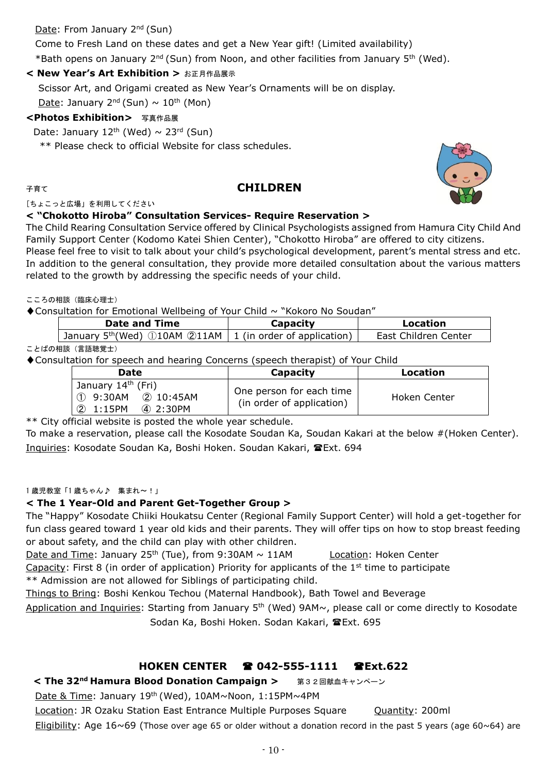# Date: From January 2<sup>nd</sup> (Sun)

Come to Fresh Land on these dates and get a New Year gift! (Limited availability) \*Bath opens on January 2<sup>nd</sup> (Sun) from Noon, and other facilities from January 5<sup>th</sup> (Wed).

# **< New Year's Art Exhibition >** お正月作品展示

Scissor Art, and Origami created as New Year's Ornaments will be on display.

Date: January  $2^{nd}$  (Sun)  $\sim 10^{th}$  (Mon)

# **<Photos Exhibition>** 写真作品展

Date: January 12<sup>th</sup> (Wed)  $\sim$  23<sup>rd</sup> (Sun)

\*\* Please check to official Website for class schedules.

# 子育て **CHILDREN**

[ちょこっと広場」を利用してください

# **< "Chokotto Hiroba" Consultation Services- Require Reservation >**

The Child Rearing Consultation Service offered by Clinical Psychologists assigned from Hamura City Child And Family Support Center (Kodomo Katei Shien Center), "Chokotto Hiroba" are offered to city citizens. Please feel free to visit to talk about your child's psychological development, parent's mental stress and etc. In addition to the general consultation, they provide more detailed consultation about the various matters related to the growth by addressing the specific needs of your child.

こころの相談 (臨床心理士)

◆Consultation for Emotional Wellbeing of Your Child ~ "Kokoro No Soudan"

| Date and Time                                                                        | Capacitv | Location             |  |
|--------------------------------------------------------------------------------------|----------|----------------------|--|
| January $5^{th}$ (Wed) $\bigcirc$ 10AM $\bigcirc$ 11AM   1 (in order of application) |          | East Children Center |  |
|                                                                                      |          |                      |  |

ことばの相談(言語聴覚士)

♦Consultation for speech and hearing Concerns (speech therapist) of Your Child

| <b>Date</b>                                                                              | Capacity                                              | Location     |
|------------------------------------------------------------------------------------------|-------------------------------------------------------|--------------|
| January 14 <sup>th</sup> (Fri)<br>$(1)$ 9:30AM $(2)$ 10:45AM<br>2 1:15PM<br>$(4)$ 2:30PM | One person for each time<br>(in order of application) | Hoken Center |

\*\* City official website is posted the whole year schedule.

To make a reservation, please call the Kosodate Soudan Ka, Soudan Kakari at the below #(Hoken Center). Inquiries: Kosodate Soudan Ka, Boshi Hoken. Soudan Kakari, @Ext. 694

#### 1 歳児教室「1 歳ちゃん♪ 集まれ~!」

# **< The 1 Year-Old and Parent Get-Together Group >**

The "Happy" Kosodate Chiiki Houkatsu Center (Regional Family Support Center) will hold a get-together for fun class geared toward 1 year old kids and their parents. They will offer tips on how to stop breast feeding or about safety, and the child can play with other children.

Date and Time: January 25<sup>th</sup> (Tue), from 9:30AM  $\sim$  11AM Location: Hoken Center

Capacity: First 8 (in order of application) Priority for applicants of the  $1<sup>st</sup>$  time to participate

\*\* Admission are not allowed for Siblings of participating child.

Things to Bring: Boshi Kenkou Techou (Maternal Handbook), Bath Towel and Beverage

Application and Inquiries: Starting from January 5<sup>th</sup> (Wed) 9AM~, please call or come directly to Kosodate Sodan Ka, Boshi Hoken. Sodan Kakari, TExt. 695

# **HOKEN CENTER 042-555-1111 Ext.622**

# **< The 32nd Hamura Blood Donation Campaign >** 第32回献血キャンペーン

Date & Time: January 19th (Wed), 10AM~Noon, 1:15PM~4PM

Location: JR Ozaku Station East Entrance Multiple Purposes Square Cuantity: 200ml

Eligibility: Age  $16~69$  (Those over age 65 or older without a donation record in the past 5 years (age 60~64) are

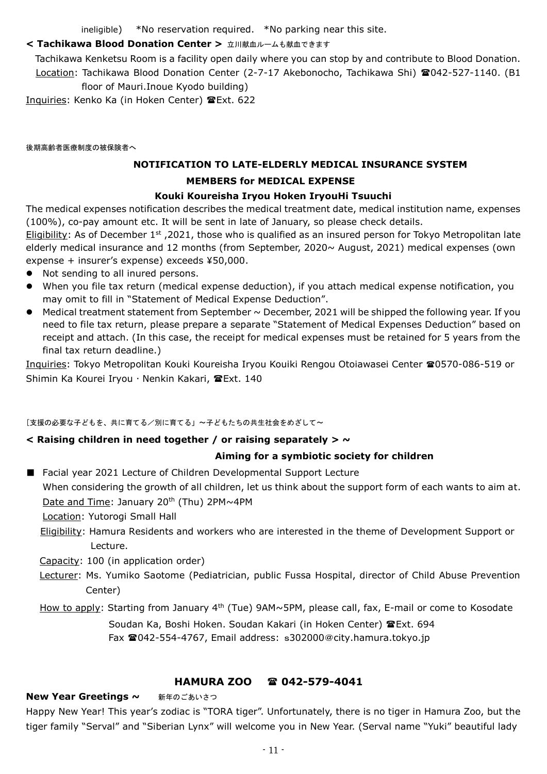ineligible) \*No reservation required. \*No parking near this site.

# < Tachikawa Blood Donation Center > 立川献血ルームも献血できます

Tachikawa Kenketsu Room is a facility open daily where you can stop by and contribute to Blood Donation. Location: Tachikawa Blood Donation Center (2-7-17 Akebonocho, Tachikawa Shi) 2042-527-1140. (B1 floor of Mauri.Inoue Kyodo building)

Inquiries: Kenko Ka (in Hoken Center) Ext. 622

後期高齢者医療制度の被保険者へ

# **NOTIFICATION TO LATE-ELDERLY MEDICAL INSURANCE SYSTEM MEMBERS for MEDICAL EXPENSE Kouki Koureisha Iryou Hoken IryouHi Tsuuchi**

The medical expenses notification describes the medical treatment date, medical institution name, expenses (100%), co-pay amount etc. It will be sent in late of January, so please check details.

Eligibility: As of December  $1<sup>st</sup>$ , 2021, those who is qualified as an insured person for Tokyo Metropolitan late elderly medical insurance and 12 months (from September, 2020~ August, 2021) medical expenses (own expense + insurer's expense) exceeds ¥50,000.

- Not sending to all inured persons.
- When you file tax return (medical expense deduction), if you attach medical expense notification, you may omit to fill in "Statement of Medical Expense Deduction".
- $\bullet$  Medical treatment statement from September  $\sim$  December, 2021 will be shipped the following year. If you need to file tax return, please prepare a separate "Statement of Medical Expenses Deduction" based on receipt and attach. (In this case, the receipt for medical expenses must be retained for 5 years from the final tax return deadline.)

Inquiries: Tokyo Metropolitan Kouki Koureisha Iryou Kouiki Rengou Otoiawasei Center 20570-086-519 or Shimin Ka Kourei Iryou · Nenkin Kakari, TExt. 140

# [支援の必要な子どもを、共に育てる/別に育てる」~子どもたちの共生社会をめざして~

# **< Raising children in need together / or raising separately > ~**

# **Aiming for a symbiotic society for children**

■ Facial year 2021 Lecture of Children Developmental Support Lecture When considering the growth of all children, let us think about the support form of each wants to aim at. Date and Time: January 20<sup>th</sup> (Thu) 2PM~4PM

Location: Yutorogi Small Hall

Eligibility: Hamura Residents and workers who are interested in the theme of Development Support or Lecture.

Capacity: 100 (in application order)

 Lecturer: Ms. Yumiko Saotome (Pediatrician, public Fussa Hospital, director of Child Abuse Prevention Center)

How to apply: Starting from January 4<sup>th</sup> (Tue) 9AM~5PM, please call, fax, E-mail or come to Kosodate

Soudan Ka, Boshi Hoken. Soudan Kakari (in Hoken Center) TExt. 694 Fax <sup>2</sup>042-554-4767, Email address: s302000@city.hamura.tokyo.jp

# **HAMURA ZOO 042-579-4041**

#### New Year Greetings ~ 新年のごあいさつ

Happy New Year! This year's zodiac is "TORA tiger". Unfortunately, there is no tiger in Hamura Zoo, but the tiger family "Serval" and "Siberian Lynx" will welcome you in New Year. (Serval name "Yuki" beautiful lady